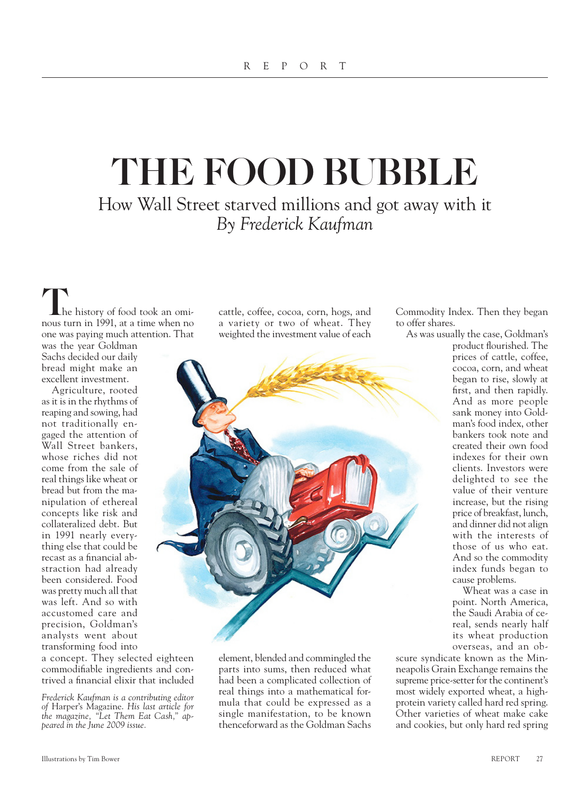## THE FOOD BUBBLE How Wall Street starved millions and got away with it *By Frederick Kaufman*

he history of food took an ominous turn in 1991, at a time when no one was paying much attention. That

was the year Goldman Sachs decided our daily bread might make an excellent investment.

Agriculture, rooted as it is in the rhythms of reaping and sowing, had not traditionally engaged the attention of Wall Street bankers, whose riches did not come from the sale of real things like wheat or bread but from the manipulation of ethereal concepts like risk and collateralized debt. But in 1991 nearly everything else that could be recast as a financial abstraction had already been considered. Food was pretty much all that was left. And so with accustomed care and precision, Goldman's analysts went about transforming food into

a concept. They selected eighteen commodifiable ingredients and contrived a financial elixir that included

cattle, coffee, cocoa, corn, hogs, and a variety or two of wheat. They weighted the investment value of each



element, blended and commingled the parts into sums, then reduced what had been a complicated collection of real things into a mathematical formula that could be expressed as a single manifestation, to be known thenceforward as the Goldman Sachs Commodity Index. Then they began to offer shares.

As was usually the case, Goldman's

product flourished. The prices of cattle, coffee, cocoa, corn, and wheat began to rise, slowly at first, and then rapidly. And as more people sank money into Goldman's food index, other bankers took note and created their own food indexes for their own clients. Investors were delighted to see the value of their venture increase, but the rising price of breakfast, lunch, and dinner did not align with the interests of those of us who eat. And so the commodity index funds began to cause problems.

Wheat was a case in point. North America, the Saudi Arabia of cereal, sends nearly half its wheat production overseas, and an ob-

scure syndicate known as the Minneapolis Grain Exchange remains the supreme price-setter for the continent's most widely exported wheat, a highprotein variety called hard red spring. Other varieties of wheat make cake and cookies, but only hard red spring

*Frederick Kaufman is a contributing editor of* Harper's Magazine. *His last article for the magazine, "Let Them Eat Cash," appeared in the June 2009 issue.*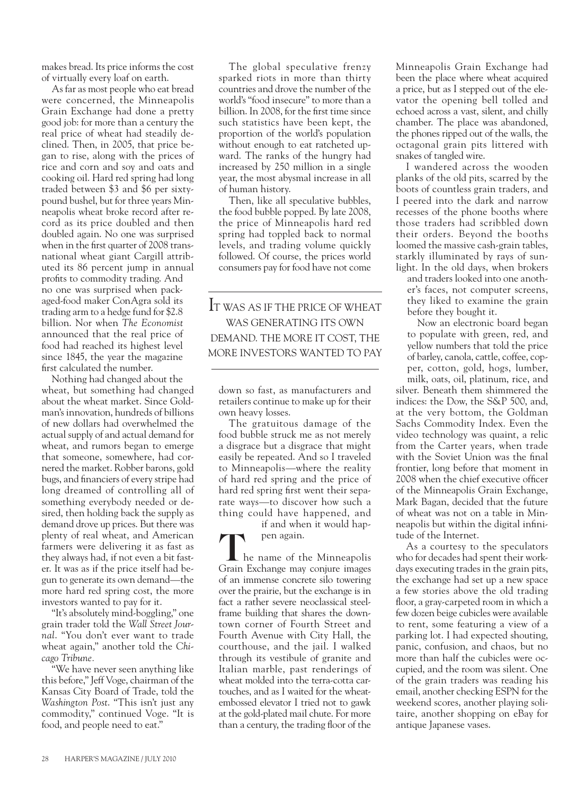makes bread. Its price informs the cost of virtually every loaf on earth.

As far as most people who eat bread were concerned, the Minneapolis Grain Exchange had done a pretty good job: for more than a century the real price of wheat had steadily declined. Then, in 2005, that price began to rise, along with the prices of rice and corn and soy and oats and cooking oil. Hard red spring had long traded between \$3 and \$6 per sixtypound bushel, but for three years Minneapolis wheat broke record after record as its price doubled and then doubled again. No one was surprised when in the first quarter of 2008 transnational wheat giant Cargill attributed its 86 percent jump in annual profits to commodity trading. And no one was surprised when packaged-food maker ConAgra sold its trading arm to a hedge fund for \$2.8 billion. Nor when *The Economist*  announced that the real price of food had reached its highest level since 1845, the year the magazine first calculated the number.

Nothing had changed about the wheat, but something had changed about the wheat market. Since Goldman's innovation, hundreds of billions of new dollars had overwhelmed the actual supply of and actual demand for wheat, and rumors began to emerge that someone, somewhere, had cornered the market. Robber barons, gold bugs, and financiers of every stripe had long dreamed of controlling all of something everybody needed or desired, then holding back the supply as demand drove up prices. But there was plenty of real wheat, and American farmers were delivering it as fast as they always had, if not even a bit faster. It was as if the price itself had begun to generate its own demand—the more hard red spring cost, the more investors wanted to pay for it.

"It's absolutely mind-boggling," one grain trader told the *Wall Street Journal*. "You don't ever want to trade wheat again," another told the *Chicago Tribune.*

"We have never seen anything like this before,"Jeff Voge, chairman of the Kansas City Board of Trade, told the *Washington Post*. "This isn't just any commodity," continued Voge. "It is food, and people need to eat."

The global speculative frenzy sparked riots in more than thirty countries and drove the number of the world's "food insecure" to more than a billion. In 2008, for the first time since such statistics have been kept, the proportion of the world's population without enough to eat ratcheted upward. The ranks of the hungry had increased by 250 million in a single year, the most abysmal increase in all of human history.

Then, like all speculative bubbles, the food bubble popped. By late 2008, the price of Minneapolis hard red spring had toppled back to normal levels, and trading volume quickly followed. Of course, the prices world consumers pay for food have not come

IT WAS AS IF THE PRICE OF WHEAT WAS GENERATING ITS OWN DEMAND. THE MORE IT COST, THE MORE INVESTORS WANTED TO PAY

down so fast, as manufacturers and retailers continue to make up for their own heavy losses.

The gratuitous damage of the food bubble struck me as not merely a disgrace but a disgrace that might easily be repeated. And so I traveled to Minneapolis—where the reality of hard red spring and the price of hard red spring first went their separate ways—to discover how such a thing could have happened, and

if and when it would hap-

pen again.  $\mathsf{L}$  he name of the Minneapolis Grain Exchange may conjure images of an immense concrete silo towering over the prairie, but the exchange is in fact a rather severe neoclassical steelframe building that shares the downtown corner of Fourth Street and Fourth Avenue with City Hall, the courthouse, and the jail. I walked through its vestibule of granite and Italian marble, past renderings of wheat molded into the terra-cotta cartouches, and as I waited for the wheatembossed elevator I tried not to gawk at the gold-plated mail chute. For more than a century, the trading floor of the Minneapolis Grain Exchange had been the place where wheat acquired a price, but as I stepped out of the elevator the opening bell tolled and echoed across a vast, silent, and chilly chamber. The place was abandoned, the phones ripped out of the walls, the octagonal grain pits littered with snakes of tangled wire.

I wandered across the wooden planks of the old pits, scarred by the boots of countless grain traders, and I peered into the dark and narrow recesses of the phone booths where those traders had scribbled down their orders. Beyond the booths loomed the massive cash-grain tables, starkly illuminated by rays of sunlight. In the old days, when brokers

and traders looked into one another's faces, not computer screens, they liked to examine the grain before they bought it.

Now an electronic board began to populate with green, red, and yellow numbers that told the price of barley, canola, cattle, coffee, copper, cotton, gold, hogs, lumber, milk, oats, oil, platinum, rice, and

silver. Beneath them shimmered the indices: the Dow, the S&P 500, and, at the very bottom, the Goldman Sachs Commodity Index. Even the video technology was quaint, a relic from the Carter years, when trade with the Soviet Union was the final frontier, long before that moment in 2008 when the chief executive officer of the Minneapolis Grain Exchange, Mark Bagan, decided that the future of wheat was not on a table in Minneapolis but within the digital infinitude of the Internet.

As a courtesy to the speculators who for decades had spent their workdays executing trades in the grain pits, the exchange had set up a new space a few stories above the old trading floor, a gray-carpeted room in which a few dozen beige cubicles were available to rent, some featuring a view of a parking lot. I had expected shouting, panic, confusion, and chaos, but no more than half the cubicles were occupied, and the room was silent. One of the grain traders was reading his email, another checking ESPN for the weekend scores, another playing solitaire, another shopping on eBay for antique Japanese vases.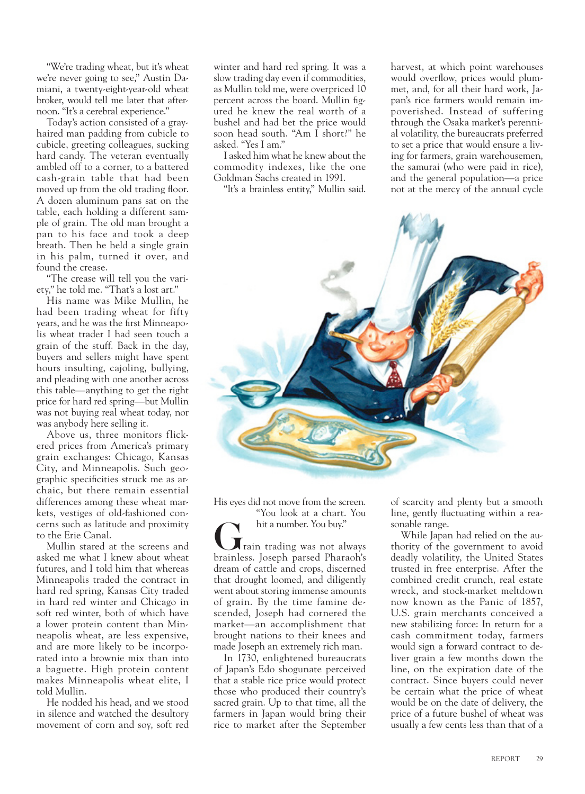"We're trading wheat, but it's wheat we're never going to see," Austin Damiani, a twenty-eight-year-old wheat broker, would tell me later that afternoon. "It's a cerebral experience."

Today's action consisted of a grayhaired man padding from cubicle to cubicle, greeting colleagues, sucking hard candy. The veteran eventually ambled off to a corner, to a battered cash-grain table that had been moved up from the old trading floor. A dozen aluminum pans sat on the table, each holding a different sample of grain. The old man brought a pan to his face and took a deep breath. Then he held a single grain in his palm, turned it over, and found the crease.

"The crease will tell you the variety," he told me. "That's a lost art."

His name was Mike Mullin, he had been trading wheat for fifty years, and he was the first Minneapolis wheat trader I had seen touch a grain of the stuff. Back in the day, buyers and sellers might have spent hours insulting, cajoling, bullying, and pleading with one another across this table—anything to get the right price for hard red spring—but Mullin was not buying real wheat today, nor was anybody here selling it.

Above us, three monitors flickered prices from America's primary grain exchanges: Chicago, Kansas City, and Minneapolis. Such geographic specificities struck me as archaic, but there remain essential differences among these wheat markets, vestiges of old-fashioned concerns such as latitude and proximity to the Erie Canal.

Mullin stared at the screens and asked me what I knew about wheat futures, and I told him that whereas Minneapolis traded the contract in hard red spring, Kansas City traded in hard red winter and Chicago in soft red winter, both of which have a lower protein content than Minneapolis wheat, are less expensive, and are more likely to be incorporated into a brownie mix than into a baguette. High protein content makes Minneapolis wheat elite, I told Mullin.

He nodded his head, and we stood in silence and watched the desultory movement of corn and soy, soft red winter and hard red spring. It was a slow trading day even if commodities, as Mullin told me, were overpriced 10 percent across the board. Mullin figured he knew the real worth of a bushel and had bet the price would soon head south. "Am I short?" he asked. "Yes I am."

I asked him what he knew about the commodity indexes, like the one Goldman Sachs created in 1991.

"It's a brainless entity," Mullin said.

harvest, at which point warehouses would overflow, prices would plummet, and, for all their hard work, Japan's rice farmers would remain impoverished. Instead of suffering through the Osaka market's perennial volatility, the bureaucrats preferred to set a price that would ensure a living for farmers, grain warehousemen, the samurai (who were paid in rice), and the general population—a price not at the mercy of the annual cycle



His eyes did not move from the screen. "You look at a chart. You

hit a number. You buy."

(rain trading was not always brainless. Joseph parsed Pharaoh's dream of cattle and crops, discerned that drought loomed, and diligently went about storing immense amounts of grain. By the time famine descended, Joseph had cornered the market—an accomplishment that brought nations to their knees and made Joseph an extremely rich man.

In 1730, enlightened bureaucrats of Japan's Edo shogunate perceived that a stable rice price would protect those who produced their country's sacred grain. Up to that time, all the farmers in Japan would bring their rice to market after the September of scarcity and plenty but a smooth line, gently fluctuating within a reasonable range.

While Japan had relied on the authority of the government to avoid deadly volatility, the United States trusted in free enterprise. After the combined credit crunch, real estate wreck, and stock-market meltdown now known as the Panic of 1857, U.S. grain merchants conceived a new stabilizing force: In return for a cash commitment today, farmers would sign a forward contract to deliver grain a few months down the line, on the expiration date of the contract. Since buyers could never be certain what the price of wheat would be on the date of delivery, the price of a future bushel of wheat was usually a few cents less than that of a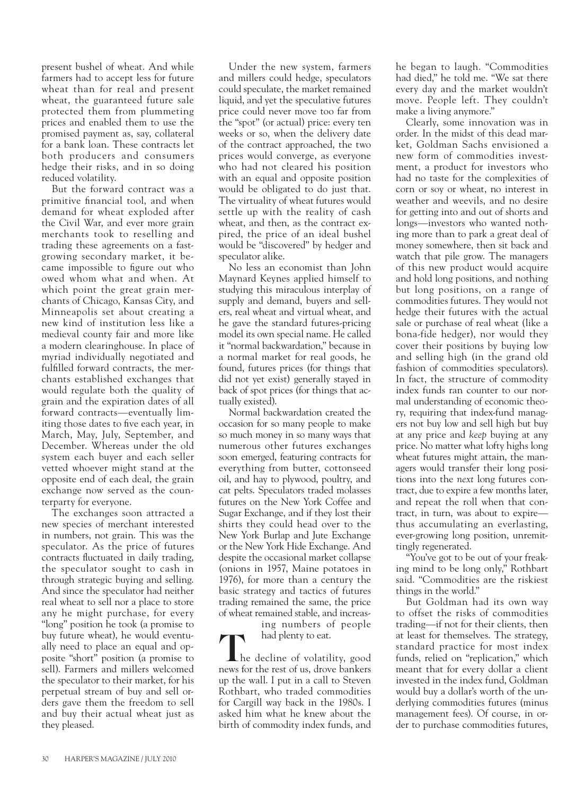present bushel of wheat. And while farmers had to accept less for future wheat than for real and present wheat, the guaranteed future sale protected them from plummeting prices and enabled them to use the promised payment as, say, collateral for a bank loan. These contracts let both producers and consumers hedge their risks, and in so doing reduced volatility.

But the forward contract was a primitive financial tool, and when demand for wheat exploded after the Civil War, and ever more grain merchants took to reselling and trading these agreements on a fastgrowing secondary market, it became impossible to figure out who owed whom what and when. At which point the great grain merchants of Chicago, Kansas City, and Minneapolis set about creating a new kind of institution less like a medieval county fair and more like a modern clearinghouse. In place of myriad individually negotiated and fulfilled forward contracts, the merchants established exchanges that would regulate both the quality of grain and the expiration dates of all forward contracts—eventually limiting those dates to five each year, in March, May, July, September, and December. Whereas under the old system each buyer and each seller vetted whoever might stand at the opposite end of each deal, the grain exchange now served as the counterparty for everyone.

The exchanges soon attracted a new species of merchant interested in numbers, not grain. This was the speculator. As the price of futures contracts fluctuated in daily trading, the speculator sought to cash in through strategic buying and selling. And since the speculator had neither real wheat to sell nor a place to store any he might purchase, for every "long" position he took (a promise to buy future wheat), he would eventually need to place an equal and opposite "short" position (a promise to sell). Farmers and millers welcomed the speculator to their market, for his perpetual stream of buy and sell orders gave them the freedom to sell and buy their actual wheat just as they pleased.

Under the new system, farmers and millers could hedge, speculators could speculate, the market remained liquid, and yet the speculative futures price could never move too far from the "spot" (or actual) price: every ten weeks or so, when the delivery date of the contract approached, the two prices would converge, as everyone who had not cleared his position with an equal and opposite position would be obligated to do just that. The virtuality of wheat futures would settle up with the reality of cash wheat, and then, as the contract expired, the price of an ideal bushel would be "discovered" by hedger and speculator alike.

No less an economist than John Maynard Keynes applied himself to studying this miraculous interplay of supply and demand, buyers and sellers, real wheat and virtual wheat, and he gave the standard futures-pricing model its own special name. He called it "normal backwardation," because in a normal market for real goods, he found, futures prices (for things that did not yet exist) generally stayed in back of spot prices (for things that actually existed).

Normal backwardation created the occasion for so many people to make so much money in so many ways that numerous other futures exchanges soon emerged, featuring contracts for everything from butter, cottonseed oil, and hay to plywood, poultry, and cat pelts. Speculators traded molasses futures on the New York Coffee and Sugar Exchange, and if they lost their shirts they could head over to the New York Burlap and Jute Exchange or the New York Hide Exchange. And despite the occasional market collapse (onions in 1957, Maine potatoes in 1976), for more than a century the basic strategy and tactics of futures trading remained the same, the price of wheat remained stable, and increas-

ing numbers of people had plenty to eat.

5he decline of volatility, good news for the rest of us, drove bankers up the wall. I put in a call to Steven Rothbart, who traded commodities for Cargill way back in the 1980s. I asked him what he knew about the birth of commodity index funds, and

he began to laugh. "Commodities had died," he told me. "We sat there every day and the market wouldn't move. People left. They couldn't make a living anymore."

Clearly, some innovation was in order. In the midst of this dead market, Goldman Sachs envisioned a new form of commodities investment, a product for investors who had no taste for the complexities of corn or soy or wheat, no interest in weather and weevils, and no desire for getting into and out of shorts and longs—investors who wanted nothing more than to park a great deal of money somewhere, then sit back and watch that pile grow. The managers of this new product would acquire and hold long positions, and nothing but long positions, on a range of commodities futures. They would not hedge their futures with the actual sale or purchase of real wheat (like a bona-fide hedger), nor would they cover their positions by buying low and selling high (in the grand old fashion of commodities speculators). In fact, the structure of commodity index funds ran counter to our normal understanding of economic theory, requiring that index-fund managers not buy low and sell high but buy at any price and *keep* buying at any price. No matter what lofty highs long wheat futures might attain, the managers would transfer their long positions into the *next* long futures contract, due to expire a few months later, and repeat the roll when that contract, in turn, was about to expire thus accumulating an everlasting, ever-growing long position, unremittingly regenerated.

"You've got to be out of your freaking mind to be long only," Rothbart said. "Commodities are the riskiest things in the world."

But Goldman had its own way to offset the risks of commodities trading—if not for their clients, then at least for themselves. The strategy, standard practice for most index funds, relied on "replication," which meant that for every dollar a client invested in the index fund, Goldman would buy a dollar's worth of the underlying commodities futures (minus management fees). Of course, in order to purchase commodities futures,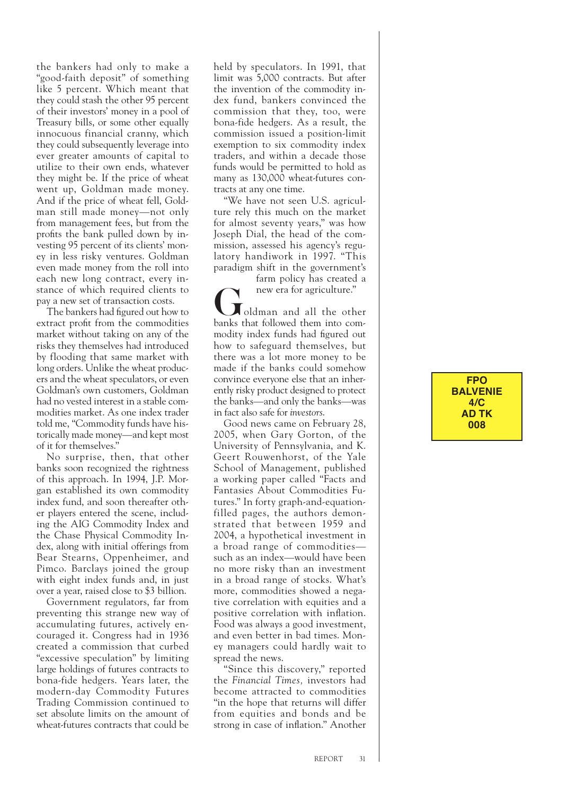the bankers had only to make a "good-faith deposit" of something like 5 percent. Which meant that they could stash the other 95 percent of their investors' money in a pool of Treasury bills, or some other equally innocuous financial cranny, which they could subsequently leverage into ever greater amounts of capital to utilize to their own ends, whatever they might be. If the price of wheat went up, Goldman made money. And if the price of wheat fell, Goldman still made money—not only from management fees, but from the profits the bank pulled down by investing 95 percent of its clients' money in less risky ventures. Goldman even made money from the roll into each new long contract, every instance of which required clients to pay a new set of transaction costs.

The bankers had figured out how to extract profit from the commodities market without taking on any of the risks they themselves had introduced by flooding that same market with long orders. Unlike the wheat producers and the wheat speculators, or even Goldman's own customers, Goldman had no vested interest in a stable commodities market. As one index trader told me, "Commodity funds have historically made money—and kept most of it for themselves."

No surprise, then, that other banks soon recognized the rightness of this approach. In 1994, J.P. Morgan established its own commodity index fund, and soon thereafter other players entered the scene, including the AIG Commodity Index and the Chase Physical Commodity Index, along with initial offerings from Bear Stearns, Oppenheimer, and Pimco. Barclays joined the group with eight index funds and, in just over a year, raised close to \$3 billion.

Government regulators, far from preventing this strange new way of accumulating futures, actively encouraged it. Congress had in 1936 created a commission that curbed "excessive speculation" by limiting large holdings of futures contracts to bona-fide hedgers. Years later, the modern-day Commodity Futures Trading Commission continued to set absolute limits on the amount of wheat-futures contracts that could be

held by speculators. In 1991, that limit was 5,000 contracts. But after the invention of the commodity index fund, bankers convinced the commission that they, too, were bona-fide hedgers. As a result, the commission issued a position-limit exemption to six commodity index traders, and within a decade those funds would be permitted to hold as many as 130,000 wheat-futures contracts at any one time.

"We have not seen U.S. agriculture rely this much on the market for almost seventy years," was how Joseph Dial, the head of the commission, assessed his agency's regulatory handiwork in 1997. "This paradigm shift in the government's

farm policy has created a new era for agriculture." oldman and all the other banks that followed them into commodity index funds had figured out how to safeguard themselves, but there was a lot more money to be made if the banks could somehow convince everyone else that an inherently risky product designed to protect the banks—and only the banks—was in fact also safe for *investors*.

Good news came on February 28, 2005, when Gary Gorton, of the University of Pennsylvania, and K. Geert Rouwenhorst, of the Yale School of Management, published a working paper called "Facts and Fantasies About Commodities Futures." In forty graph-and-equationfilled pages, the authors demonstrated that between 1959 and 2004, a hypothetical investment in a broad range of commodities such as an index—would have been no more risky than an investment in a broad range of stocks. What's more, commodities showed a negative correlation with equities and a positive correlation with inflation. Food was always a good investment, and even better in bad times. Money managers could hardly wait to spread the news.

"Since this discovery," reported the *Financial Times,* investors had become attracted to commodities "in the hope that returns will differ from equities and bonds and be strong in case of inflation." Another

**FPO BALVENIE 4/C AD TK 008**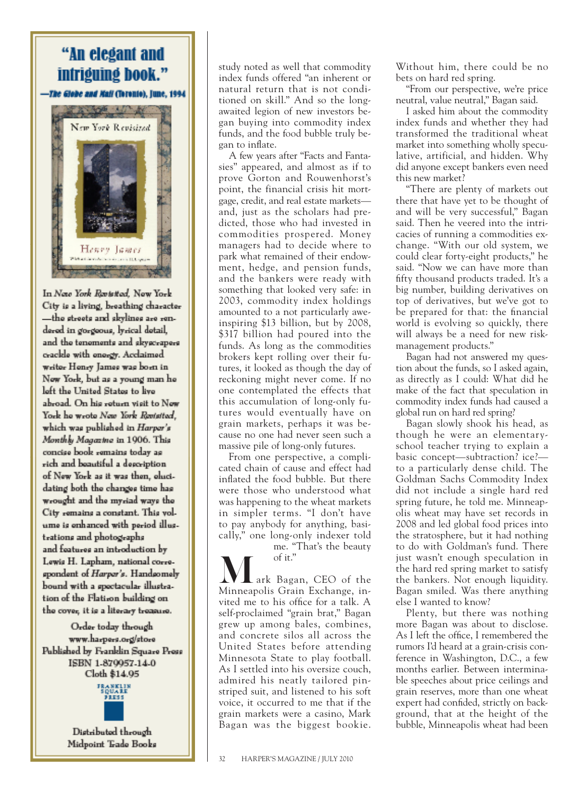## "An elegant and intriguing book."

-The Globe and Nail (Toronto), June, 1994



In New York Revisited, New York City is a living, breathing character —the streets and skylines are rendered in gorgeous, lyrical detail, and the tenements and skyscrapers crackle with energy. Acclaimed writer Henry James was born in Now York, but as a young man he left the United States to live abroad. On his return visit to New York he wrote New York Revisited. which was published in Harper's Monthly Magazine in 1906. This concise book remains today as rich and beautiful a description of New York as it was then, elucidating both the changes time has wrought and the myriad ways the City remains a constant. This volume is enhanced with period illustrations and photographs and features an introduction by Lewis H. Lapham, national correspondent of Harper's. Handsomely bound with a spectacular illustration of the Flatiron building on the cover, it is a literary treasure.

Order today through www.harpers.org/store Published by Franklin Square Press ISBN 1-879957-14-0 Cloth \$14.95



Distributed through Midpoint Trade Books study noted as well that commodity index funds offered "an inherent or natural return that is not conditioned on skill." And so the longawaited legion of new investors began buying into commodity index funds, and the food bubble truly began to inflate.

A few years after "Facts and Fantasies" appeared, and almost as if to prove Gorton and Rouwenhorst's point, the financial crisis hit mortgage, credit, and real estate markets and, just as the scholars had predicted, those who had invested in commodities prospered. Money managers had to decide where to park what remained of their endowment, hedge, and pension funds, and the bankers were ready with something that looked very safe: in 2003, commodity index holdings amounted to a not particularly aweinspiring \$13 billion, but by 2008, \$317 billion had poured into the funds. As long as the commodities brokers kept rolling over their futures, it looked as though the day of reckoning might never come. If no one contemplated the effects that this accumulation of long-only futures would eventually have on grain markets, perhaps it was because no one had never seen such a massive pile of long-only futures.

From one perspective, a complicated chain of cause and effect had inflated the food bubble. But there were those who understood what was happening to the wheat markets in simpler terms. "I don't have to pay anybody for anything, basically," one long-only indexer told me. "That's the beauty

of it."

.ark Bagan, CEO of the Minneapolis Grain Exchange, invited me to his office for a talk. A self-proclaimed "grain brat," Bagan grew up among bales, combines, and concrete silos all across the United States before attending Minnesota State to play football. As I settled into his oversize couch, admired his neatly tailored pinstriped suit, and listened to his soft voice, it occurred to me that if the grain markets were a casino, Mark Bagan was the biggest bookie. Without him, there could be no bets on hard red spring.

"From our perspective, we're price neutral, value neutral," Bagan said.

I asked him about the commodity index funds and whether they had transformed the traditional wheat market into something wholly speculative, artificial, and hidden. Why did anyone except bankers even need this new market?

"There are plenty of markets out there that have yet to be thought of and will be very successful," Bagan said. Then he veered into the intricacies of running a commodities exchange. "With our old system, we could clear forty-eight products," he said. "Now we can have more than fifty thousand products traded. It's a big number, building derivatives on top of derivatives, but we've got to be prepared for that: the financial world is evolving so quickly, there will always be a need for new riskmanagement products."

Bagan had not answered my question about the funds, so I asked again, as directly as I could: What did he make of the fact that speculation in commodity index funds had caused a global run on hard red spring?

Bagan slowly shook his head, as though he were an elementaryschool teacher trying to explain a basic concept—subtraction? ice? to a particularly dense child. The Goldman Sachs Commodity Index did not include a single hard red spring future, he told me. Minneapolis wheat may have set records in 2008 and led global food prices into the stratosphere, but it had nothing to do with Goldman's fund. There just wasn't enough speculation in the hard red spring market to satisfy the bankers. Not enough liquidity. Bagan smiled. Was there anything else I wanted to know?

Plenty, but there was nothing more Bagan was about to disclose. As I left the office, I remembered the rumors I'd heard at a grain-crisis conference in Washington, D.C., a few months earlier. Between interminable speeches about price ceilings and grain reserves, more than one wheat expert had confided, strictly on background, that at the height of the bubble, Minneapolis wheat had been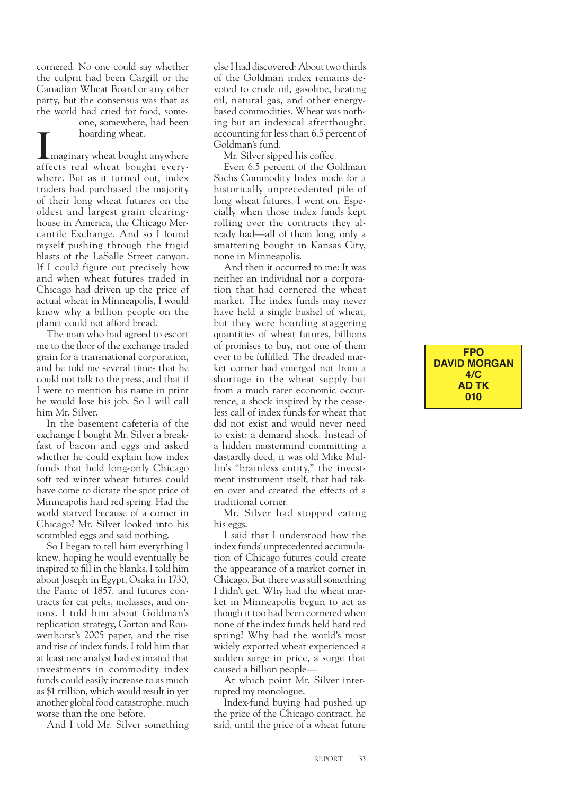cornered. No one could say whether the culprit had been Cargill or the Canadian Wheat Board or any other party, but the consensus was that as the world had cried for food, some-

> one, somewhere, had been hoarding wheat.

maginary wheat bought anywhere. affects real wheat bought everywhere. But as it turned out, index traders had purchased the majority of their long wheat futures on the oldest and largest grain clearinghouse in America, the Chicago Mercantile Exchange. And so I found myself pushing through the frigid blasts of the LaSalle Street canyon. If I could figure out precisely how and when wheat futures traded in Chicago had driven up the price of actual wheat in Minneapolis, I would know why a billion people on the planet could not afford bread.

The man who had agreed to escort me to the floor of the exchange traded grain for a transnational corporation, and he told me several times that he could not talk to the press, and that if I were to mention his name in print he would lose his job. So I will call him Mr. Silver.

In the basement cafeteria of the exchange I bought Mr. Silver a breakfast of bacon and eggs and asked whether he could explain how index funds that held long-only Chicago soft red winter wheat futures could have come to dictate the spot price of Minneapolis hard red spring. Had the world starved because of a corner in Chicago? Mr. Silver looked into his scrambled eggs and said nothing.

So I began to tell him everything I knew, hoping he would eventually be inspired to !ll in the blanks. I told him about Joseph in Egypt, Osaka in 1730, the Panic of 1857, and futures contracts for cat pelts, molasses, and onions. I told him about Goldman's replication strategy, Gorton and Rouwenhorst's 2005 paper, and the rise and rise of index funds. I told him that at least one analyst had estimated that investments in commodity index funds could easily increase to as much as \$1 trillion, which would result in yet another global food catastrophe, much worse than the one before.

And I told Mr. Silver something

else I had discovered: About two thirds of the Goldman index remains devoted to crude oil, gasoline, heating oil, natural gas, and other energybased commodities. Wheat was nothing but an indexical afterthought, accounting for less than 6.5 percent of Goldman's fund.

Mr. Silver sipped his coffee.

Even 6.5 percent of the Goldman Sachs Commodity Index made for a historically unprecedented pile of long wheat futures, I went on. Especially when those index funds kept rolling over the contracts they already had—all of them long, only a smattering bought in Kansas City, none in Minneapolis.

And then it occurred to me: It was neither an individual nor a corporation that had cornered the wheat market. The index funds may never have held a single bushel of wheat, but they were hoarding staggering quantities of wheat futures, billions of promises to buy, not one of them ever to be fulfilled. The dreaded market corner had emerged not from a shortage in the wheat supply but from a much rarer economic occurrence, a shock inspired by the ceaseless call of index funds for wheat that did not exist and would never need to exist: a demand shock. Instead of a hidden mastermind committing a dastardly deed, it was old Mike Mullin's "brainless entity," the investment instrument itself, that had taken over and created the effects of a traditional corner.

Mr. Silver had stopped eating his eggs.

I said that I understood how the index funds' unprecedented accumulation of Chicago futures could create the appearance of a market corner in Chicago. But there was still something I didn't get. Why had the wheat market in Minneapolis begun to act as though it too had been cornered when none of the index funds held hard red spring? Why had the world's most widely exported wheat experienced a sudden surge in price, a surge that caused a billion people—

At which point Mr. Silver interrupted my monologue.

Index-fund buying had pushed up the price of the Chicago contract, he said, until the price of a wheat future

## **FPO DAVID MORGAN 4/C AD TK 010**